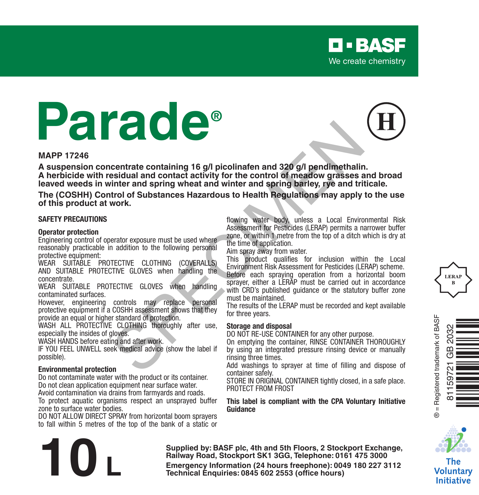# **Parade®**

#### **MAPP 17246**

**A suspension concentrate containing 16 g/l picolinafen and 320 g/l pendimethalin. A herbicide with residual and contact activity for the control of meadow grasses and broad leaved weeds in winter and spring wheat and winter and spring barley, rye and triticale. Example 15 cm**<br>
Second and contact activity for the control of meadow grasses containing<br>
Second and contact activity for the control of meadow grasses and triving<br>
the control of Substances Hazardous to Health Regulation

**The (COSHH) Control of Substances Hazardous to Health Regulations may apply to the use of this product at work.**

#### **SAFETY PRECAUTIONS**

#### **Operator protection**

Engineering control of operator exposure must be used where reasonably practicable in addition to the following personal protective equipment:

WEAR SUITABLE PROTECTIVE CLOTHING (COVERALLS) AND SUITABLE PROTECTIVE GLOVES when handling the concentrate.

WEAR SUITABLE PROTECTIVE GLOVES when handling contaminated surfaces.

However, engineering controls may replace personal protective equipment if a COSHH assessment shows that they provide an equal or higher standard of protection.

WASH ALL PROTECTIVE CLOTHING thoroughly after use. especially the insides of gloves.

WASH HANDS before eating and after work.

IF YOU FEEL UNWELL seek medical advice (show the label if possible).

#### **Environmental protection**

Do not contaminate water with the product or its container. Do not clean application equipment near surface water. Avoid contamination via drains from farmyards and roads.

To protect aquatic organisms respect an unsprayed buffer

zone to surface water bodies. DO NOT ALLOW DIRECT SPRAY from horizontal boom sprayers to fall within 5 metres of the top of the bank of a static or flowing water body, unless a Local Environmental Risk Assessment for Pesticides (LERAP) permits a narrower buffer zone, or within 1 metre from the top of a ditch which is dry at the time of application.

**D-BASF** We create chemistry

Aim spray away from water.

This product qualifies for inclusion within the Local Environment Risk Assessment for Pesticides (LERAP) scheme. Before each spraying operation from a horizontal boom sprayer, either a LERAP must be carried out in accordance with CRD's published guidance or the statutory buffer zone must be maintained.

The results of the LERAP must be recorded and kept available for three years.

#### **Storage and disposal**

DO NOT RE-USE CONTAINER for any other purpose.

On emptying the container, RINSE CONTAINER THOROUGHLY by using an integrated pressure rinsing device or manually rinsing three times.

Add washings to sprayer at time of filling and dispose of container safely.

STORE IN ORIGINAL CONTAINER tightly closed, in a safe place. PROTECT FROM FROST

**This label is compliant with the CPA Voluntary Initiative Guidance**







The Voluntary **Initiative** 

**Supplied by: BASF plc, 4th and 5th Floors, 2 Stockport Exchange, Railway Road, Stockport SK1 3GG, Telephone: 0161 475 3000 Emergency Information (24 hours freephone: 0161 475 3000<br>
<b>Emergency Information (24 hours freephone: 0161 475 3000**<br> **Emergency Information (24 hours freephone: 0049 180 227 3112<br>
Technical Enquiries: 0845 602 2553 (offi**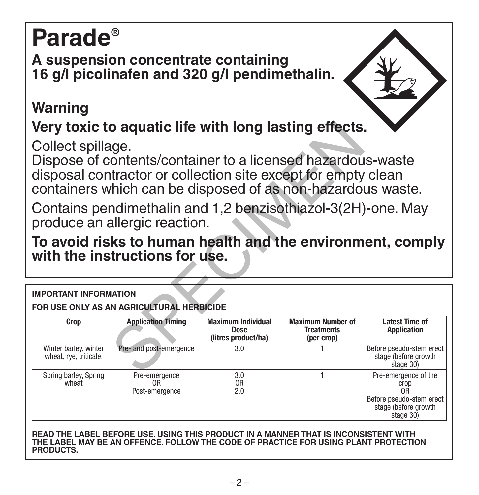# **Parade®**

**A suspension concentrate containing 16 g/l picolinafen and 320 g/l pendimethalin.** 

## **Warning**

## **Very toxic to aquatic life with long lasting effects.**

### **To avoid risks to human health and the environment, comply with the instructions for use.**

#### **IMPORTANT INFORMATION**

| Very toxic to aquatic life with long lasting effects.                                        |                                                                                                                                                                                             |                                                          |                                                             |                                                               |  |  |  |
|----------------------------------------------------------------------------------------------|---------------------------------------------------------------------------------------------------------------------------------------------------------------------------------------------|----------------------------------------------------------|-------------------------------------------------------------|---------------------------------------------------------------|--|--|--|
| Collect spillage.                                                                            | Dispose of contents/container to a licensed hazardous-waste<br>disposal contractor or collection site except for empty clean<br>containers which can be disposed of as non-hazardous waste. |                                                          |                                                             |                                                               |  |  |  |
|                                                                                              | Contains pendimethalin and 1,2 benzisothiazol-3(2H)-one. May<br>produce an allergic reaction.                                                                                               |                                                          |                                                             |                                                               |  |  |  |
| To avoid risks to human health and the environment, comply<br>with the instructions for use. |                                                                                                                                                                                             |                                                          |                                                             |                                                               |  |  |  |
| <b>IMPORTANT INFORMATION</b><br>FOR USE ONLY AS AN AGRICULTURAL HERBICIDE                    |                                                                                                                                                                                             |                                                          |                                                             |                                                               |  |  |  |
|                                                                                              |                                                                                                                                                                                             |                                                          |                                                             |                                                               |  |  |  |
| Crop                                                                                         | <b>Application Timing</b>                                                                                                                                                                   | <b>Maximum Individual</b><br>Dose<br>(litres product/ha) | <b>Maximum Number of</b><br><b>Treatments</b><br>(per crop) | <b>Latest Time of</b><br><b>Application</b>                   |  |  |  |
| Winter barley, winter<br>wheat, rye, triticale.                                              | Pre- and post-emergence                                                                                                                                                                     | 3.0                                                      |                                                             | Before pseudo-stem erect<br>stage (before growth<br>stage 30) |  |  |  |

**READ THE LABEL BEFORE USE. USING THIS PRODUCT IN A MANNER THAT IS INCONSISTENT WITH THE LABEL MAY BE AN OFFENCE. FOLLOW THE CODE OF PRACTICE FOR USING PLANT PROTECTION PRODUCTS.**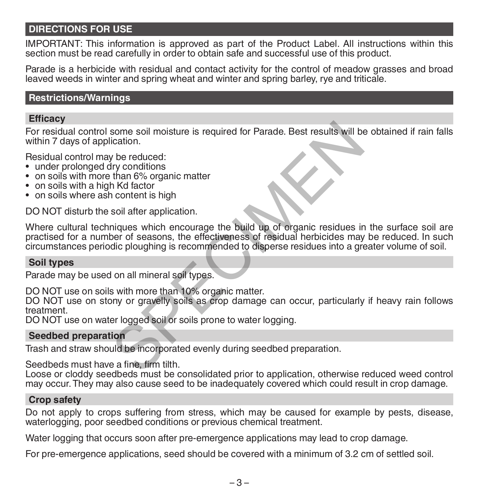#### **DIRECTIONS FOR USE**

IMPORTANT: This information is approved as part of the Product Label. All instructions within this section must be read carefully in order to obtain safe and successful use of this product.

Parade is a herbicide with residual and contact activity for the control of meadow grasses and broad leaved weeds in winter and spring wheat and winter and spring barley, rye and triticale.

#### **Restrictions/Warnings**

#### **Efficacy**

For residual control some soil moisture is required for Parade. Best results will be obtained if rain falls within 7 days of application.

Residual control may be reduced:

- under prolonged dry conditions
- on soils with more than 6% organic matter
- on soils with a high Kd factor
- on soils where ash content is high

DO NOT disturb the soil after application.

Where cultural techniques which encourage the build up of organic residues in the surface soil are practised for a number of seasons, the effectiveness of residual herbicides may be reduced. In such circumstances periodic ploughing is recommended to disperse residues into a greater volume of soil. some soil moisture is required for Parade. Best results will be<br>
ication.<br>
y be reduced:<br>
hy conditions<br>
that factor<br>
hy conditions<br>
that factor<br>
in Content is high<br>
soil after application.<br>
iniques which encourage the bui

#### **Soil types**

Parade may be used on all mineral soil types.

DO NOT use on soils with more than 10% organic matter.

DO NOT use on stony or gravelly soils as crop damage can occur, particularly if heavy rain follows treatment.

DO NOT use on water logged soil or soils prone to water logging.

#### **Seedbed preparation**

Trash and straw should be incorporated evenly during seedbed preparation.

Seedbeds must have a fine, firm tilth.

Loose or cloddy seedbeds must be consolidated prior to application, otherwise reduced weed control may occur. They may also cause seed to be inadequately covered which could result in crop damage.

#### **Crop safety**

Do not apply to crops suffering from stress, which may be caused for example by pests, disease, waterlogging, poor seedbed conditions or previous chemical treatment.

Water logging that occurs soon after pre-emergence applications may lead to crop damage.

For pre-emergence applications, seed should be covered with a minimum of 3.2 cm of settled soil.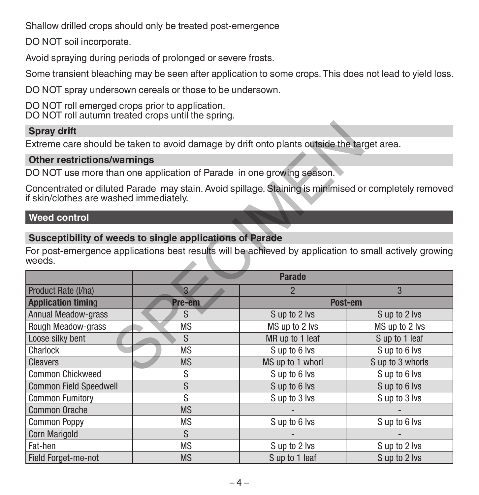Shallow drilled crops should only be treated post-emergence

DO NOT soil incorporate.

Avoid spraying during periods of prolonged or severe frosts.

Some transient bleaching may be seen after application to some crops. This does not lead to yield loss.

DO NOT spray undersown cereals or those to be undersown.

DO NOT roll emerged crops prior to application. DO NOT roll autumn treated crops until the spring.

#### **Spray drift**

#### **Other restrictions/warnings**

#### **Weed control**

#### **Susceptibility of weeds to single applications of Parade**

| <b>Spray drift</b>                                                                                                                                                           |                                                                       |                                                                                                       |                  |  |  |  |  |
|------------------------------------------------------------------------------------------------------------------------------------------------------------------------------|-----------------------------------------------------------------------|-------------------------------------------------------------------------------------------------------|------------------|--|--|--|--|
| Extreme care should be taken to avoid damage by drift onto plants outside the target area.                                                                                   |                                                                       |                                                                                                       |                  |  |  |  |  |
| <b>Other restrictions/warnings</b>                                                                                                                                           |                                                                       |                                                                                                       |                  |  |  |  |  |
|                                                                                                                                                                              | DO NOT use more than one application of Parade in one growing season. |                                                                                                       |                  |  |  |  |  |
| if skin/clothes are washed immediately.                                                                                                                                      |                                                                       | Concentrated or diluted Parade may stain. Avoid spillage. Staining is minimised or completely removed |                  |  |  |  |  |
| <b>Weed control</b>                                                                                                                                                          |                                                                       |                                                                                                       |                  |  |  |  |  |
| Susceptibility of weeds to single applications of Parade<br>For post-emergence applications best results will be achieved by application to small actively growing<br>weeds. |                                                                       |                                                                                                       |                  |  |  |  |  |
|                                                                                                                                                                              |                                                                       | <b>Parade</b>                                                                                         |                  |  |  |  |  |
| Product Rate (I/ha)                                                                                                                                                          | $\overline{3}$                                                        | $\overline{2}$                                                                                        | 3                |  |  |  |  |
| <b>Application timing</b>                                                                                                                                                    | Pre-em                                                                | Post-em                                                                                               |                  |  |  |  |  |
| <b>Annual Meadow-grass</b>                                                                                                                                                   | S                                                                     | S up to 2 lvs                                                                                         | S up to 2 lvs    |  |  |  |  |
| Rough Meadow-grass                                                                                                                                                           | <b>MS</b>                                                             | MS up to 2 lvs                                                                                        | MS up to 2 lvs   |  |  |  |  |
| Loose silky bent                                                                                                                                                             | S.                                                                    | MR up to 1 leaf                                                                                       | S up to 1 leaf   |  |  |  |  |
| Charlock                                                                                                                                                                     | <b>MS</b>                                                             | S up to 6 lvs                                                                                         | Sup to 6 lvs     |  |  |  |  |
| <b>Cleavers</b>                                                                                                                                                              | <b>MS</b>                                                             | MS up to 1 whorl                                                                                      | S up to 3 whorls |  |  |  |  |
| Common Chickweed                                                                                                                                                             | S                                                                     | S up to 6 lvs                                                                                         | S up to 6 lvs    |  |  |  |  |
| <b>Common Field Speedwell</b>                                                                                                                                                | S                                                                     | Sup to 6 lvs                                                                                          | Sup to 6 lvs     |  |  |  |  |
| <b>Common Fumitory</b>                                                                                                                                                       | S                                                                     | S up to 3 lvs                                                                                         | S up to 3 lvs    |  |  |  |  |
| Common Orache                                                                                                                                                                | <b>MS</b>                                                             |                                                                                                       |                  |  |  |  |  |
| <b>Common Poppy</b>                                                                                                                                                          | <b>MS</b>                                                             | Sup to 6 lvs                                                                                          | Sup to 6 lvs     |  |  |  |  |
| Corn Marigold                                                                                                                                                                | S                                                                     |                                                                                                       |                  |  |  |  |  |
| Fat-hen                                                                                                                                                                      | <b>MS</b>                                                             | S up to 2 lvs                                                                                         | S up to 2 lvs    |  |  |  |  |
| Field Forget-me-not                                                                                                                                                          | <b>MS</b>                                                             | S up to 1 leaf                                                                                        | S up to 2 lvs    |  |  |  |  |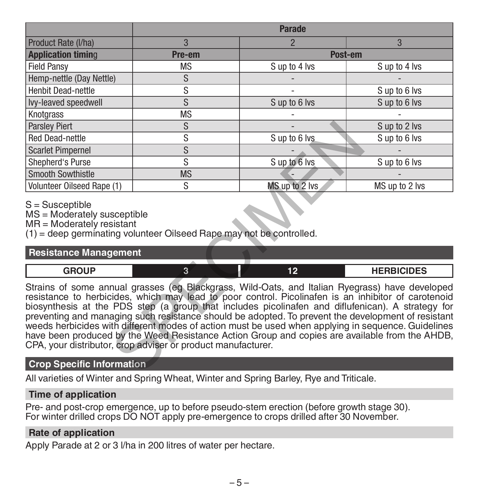| 3<br>Product Rate (I/ha)<br>$\overline{\phantom{0}}$<br>3<br><b>Application timing</b><br>Post-em<br>Pre-em<br><b>Field Pansy</b><br><b>MS</b><br>S up to 4 lvs<br>S up to 4 lvs<br>S<br>Hemp-nettle (Day Nettle)<br>S<br><b>Henbit Dead-nettle</b><br>S up to 6 lvs<br>S<br>S up to 6 lvs<br>S up to 6 lvs<br>Ivy-leaved speedwell<br><b>MS</b><br>Knotgrass                                                                                                                                                                                                                                                                                                                                                                |  |  |  |  |  |  |
|------------------------------------------------------------------------------------------------------------------------------------------------------------------------------------------------------------------------------------------------------------------------------------------------------------------------------------------------------------------------------------------------------------------------------------------------------------------------------------------------------------------------------------------------------------------------------------------------------------------------------------------------------------------------------------------------------------------------------|--|--|--|--|--|--|
|                                                                                                                                                                                                                                                                                                                                                                                                                                                                                                                                                                                                                                                                                                                              |  |  |  |  |  |  |
|                                                                                                                                                                                                                                                                                                                                                                                                                                                                                                                                                                                                                                                                                                                              |  |  |  |  |  |  |
|                                                                                                                                                                                                                                                                                                                                                                                                                                                                                                                                                                                                                                                                                                                              |  |  |  |  |  |  |
|                                                                                                                                                                                                                                                                                                                                                                                                                                                                                                                                                                                                                                                                                                                              |  |  |  |  |  |  |
|                                                                                                                                                                                                                                                                                                                                                                                                                                                                                                                                                                                                                                                                                                                              |  |  |  |  |  |  |
|                                                                                                                                                                                                                                                                                                                                                                                                                                                                                                                                                                                                                                                                                                                              |  |  |  |  |  |  |
|                                                                                                                                                                                                                                                                                                                                                                                                                                                                                                                                                                                                                                                                                                                              |  |  |  |  |  |  |
| S<br><b>Parsley Piert</b><br>S up to 2 lvs                                                                                                                                                                                                                                                                                                                                                                                                                                                                                                                                                                                                                                                                                   |  |  |  |  |  |  |
| S<br><b>Red Dead-nettle</b><br>S up to 6 lvs<br>S up to 6 lvs                                                                                                                                                                                                                                                                                                                                                                                                                                                                                                                                                                                                                                                                |  |  |  |  |  |  |
| S<br><b>Scarlet Pimpernel</b>                                                                                                                                                                                                                                                                                                                                                                                                                                                                                                                                                                                                                                                                                                |  |  |  |  |  |  |
| S<br>Sup to 6 lvs<br>Shepherd's Purse<br>S up to 6 lvs                                                                                                                                                                                                                                                                                                                                                                                                                                                                                                                                                                                                                                                                       |  |  |  |  |  |  |
| Smooth Sowthistle<br><b>MS</b>                                                                                                                                                                                                                                                                                                                                                                                                                                                                                                                                                                                                                                                                                               |  |  |  |  |  |  |
| S<br>MS up to 2 lvs<br>Volunteer Oilseed Rape (1)<br>MS up to 2 lvs                                                                                                                                                                                                                                                                                                                                                                                                                                                                                                                                                                                                                                                          |  |  |  |  |  |  |
| $S =$ Susceptible<br>MS = Moderately susceptible<br>MR = Moderately resistant<br>(1) = deep germinating volunteer Oilseed Rape may not be controlled.                                                                                                                                                                                                                                                                                                                                                                                                                                                                                                                                                                        |  |  |  |  |  |  |
| <b>Resistance Management</b>                                                                                                                                                                                                                                                                                                                                                                                                                                                                                                                                                                                                                                                                                                 |  |  |  |  |  |  |
| $\overline{3}$<br>12<br><b>GROUP</b><br><b>HERBICIDES</b>                                                                                                                                                                                                                                                                                                                                                                                                                                                                                                                                                                                                                                                                    |  |  |  |  |  |  |
| Strains of some annual grasses (eg Blackgrass, Wild-Oats, and Italian Ryegrass) have developed<br>resistance to herbicides, which may lead to poor control. Picolinafen is an inhibitor of carotenoid<br>biosynthesis at the PDS step (a group that includes picolinafen and diflufenican). A strategy for<br>preventing and managing such resistance should be adopted. To prevent the development of resistant<br>weeds herbicides with different modes of action must be used when applying in sequence. Guidelines<br>have been produced by the Weed Resistance Action Group and copies are available from the AHDB,<br>CPA, your distributor, crop adviser or product manufacturer.<br><b>Crop Specific Information</b> |  |  |  |  |  |  |
|                                                                                                                                                                                                                                                                                                                                                                                                                                                                                                                                                                                                                                                                                                                              |  |  |  |  |  |  |

#### S = Susceptible

#### **Resistance Management**

| CDOUD<br>- |  | <b>UEDDICIDEC</b><br>- כבועה |
|------------|--|------------------------------|
|            |  |                              |

#### **Crop Specific Information**

All varieties of Winter and Spring Wheat, Winter and Spring Barley, Rye and Triticale.

#### **Time of application**

Pre- and post-crop emergence, up to before pseudo-stem erection (before growth stage 30). For winter drilled crops DO NOT apply pre-emergence to crops drilled after 30 November.

#### **Rate of application**

Apply Parade at 2 or 3 l/ha in 200 litres of water per hectare.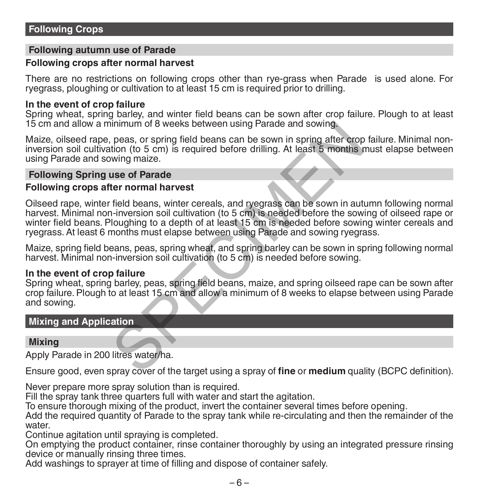#### **Following autumn use of Parade**

#### **Following crops after normal harvest**

There are no restrictions on following crops other than rye-grass when Parade is used alone. For ryegrass, ploughing or cultivation to at least 15 cm is required prior to drilling.

#### **In the event of crop failure**

Spring wheat, spring barley, and winter field beans can be sown after crop failure. Plough to at least 15 cm and allow a minimum of 8 weeks between using Parade and sowing.

Maize, oilseed rape, peas, or spring field beans can be sown in spring after crop failure. Minimal noninversion soil cultivation (to 5 cm) is required before drilling. At least 5 months must elapse between using Parade and sowing maize.

#### **Following Spring use of Parade**

#### **Following crops after normal harvest**

Oilseed rape, winter field beans, winter cereals, and ryegrass can be sown in autumn following normal harvest. Minimal non-inversion soil cultivation (to 5 cm) is needed before the sowing of oilseed rape or winter field beans. Ploughing to a depth of at least 15 cm is needed before sowing winter cereals and ryegrass. At least 6 months must elapse between using Parade and sowing ryegrass. inimum of 8 weeks between using Parade and sowing.<br>
peas, or spring field beans can be sown in spring after crop<br>
tion (to 5 cm) is required before drilling. At least 5 months is<br>
wing maize.<br> **use of Parade**<br> **ter normal** 

Maize, spring field beans, peas, spring wheat, and spring barley can be sown in spring following normal harvest. Minimal non-inversion soil cultivation (to 5 cm) is needed before sowing.

#### **In the event of crop failure**

Spring wheat, spring barley, peas, spring field beans, maize, and spring oilseed rape can be sown after crop failure. Plough to at least 15 cm and allow a minimum of 8 weeks to elapse between using Parade and sowing.

#### **Mixing and Application**

#### **Mixing**

Apply Parade in 200 litres water/ha.

Ensure good, even spray cover of the target using a spray of **fine** or **medium** quality (BCPC definition).

Never prepare more spray solution than is required.

Fill the spray tank three quarters full with water and start the agitation.

To ensure thorough mixing of the product, invert the container several times before opening.

Add the required quantity of Parade to the spray tank while re-circulating and then the remainder of the water

Continue agitation until spraying is completed.

On emptying the product container, rinse container thoroughly by using an integrated pressure rinsing device or manually rinsing three times.

Add washings to sprayer at time of filling and dispose of container safely.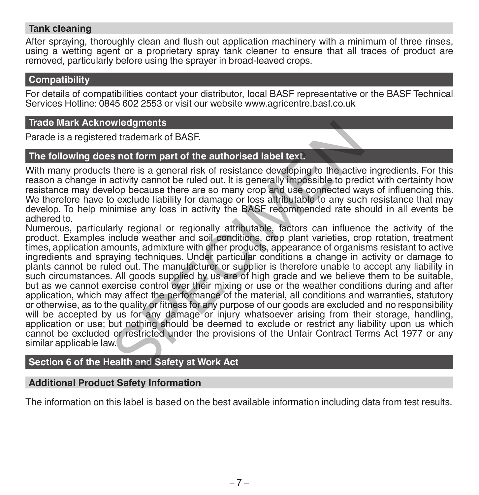#### **Tank cleaning**

After spraying, thoroughly clean and flush out application machinery with a minimum of three rinses, using a wetting agent or a proprietary spray tank cleaner to ensure that all traces of product are removed, particularly before using the sprayer in broad-leaved crops.

#### **Compatibility**

For details of compatibilities contact your distributor, local BASF representative or the BASF Technical Services Hotline: 0845 602 2553 or visit our website www.agricentre.basf.co.uk

#### **Trade Mark Acknowledgments**

Parade is a registered trademark of BASF.

#### **The following does not form part of the authorised label text.**

With many products there is a general risk of resistance developing to the active ingredients. For this reason a change in activity cannot be ruled out. It is generally impossible to predict with certainty how resistance may develop because there are so many crop and use connected ways of influencing this. We therefore have to exclude liability for damage or loss attributable to any such resistance that may develop. To help minimise any loss in activity the BASF recommended rate should in all events be adhered to.

Numerous, particularly regional or regionally attributable, factors can influence the activity of the product. Examples include weather and soil conditions, crop plant varieties, crop rotation, treatment times, application amounts, admixture with other products, appearance of organisms resistant to active ingredients and spraying techniques. Under particular conditions a change in activity or damage to plants cannot be ruled out. The manufacturer or supplier is therefore unable to accept any liability in such circumstances. All goods supplied by us are of high grade and we believe them to be suitable, but as we cannot exercise control over their mixing or use or the weather conditions during and after application, which may affect the performance of the material, all conditions and warranties, statutory or otherwise, as to the quality or fitness for any purpose of our goods are excluded and no responsibility will be accepted by us for any damage or injury whatsoever arising from their storage, handling, application or use; but nothing should be deemed to exclude or restrict any liability upon us which cannot be excluded or restricted under the provisions of the Unfair Contract Terms Act 1977 or any similar applicable law. wledgments<br>so trademark of BASF.<br>s not form part of the authorised label text.<br>there is a general risk of resistance developing to the active<br>activity cannot be ruled out. It is generally impossible to pred<br>o exclude liabi

#### **Section 6 of the Health and Safety at Work Act**

#### **Additional Product Safety Information**

The information on this label is based on the best available information including data from test results.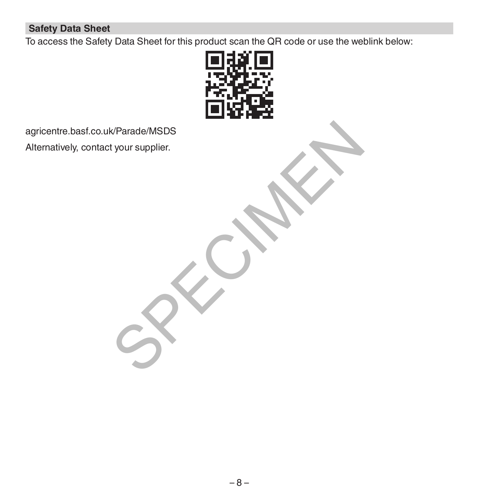#### **Safety Data Sheet**

To access the Safety Data Sheet for this product scan the QR code or use the weblink below:



agricentre.basf.co.uk/Parade/MSDS Alternatively, contact your supplier. K/Parade/MSDS<br>tyour supplier.